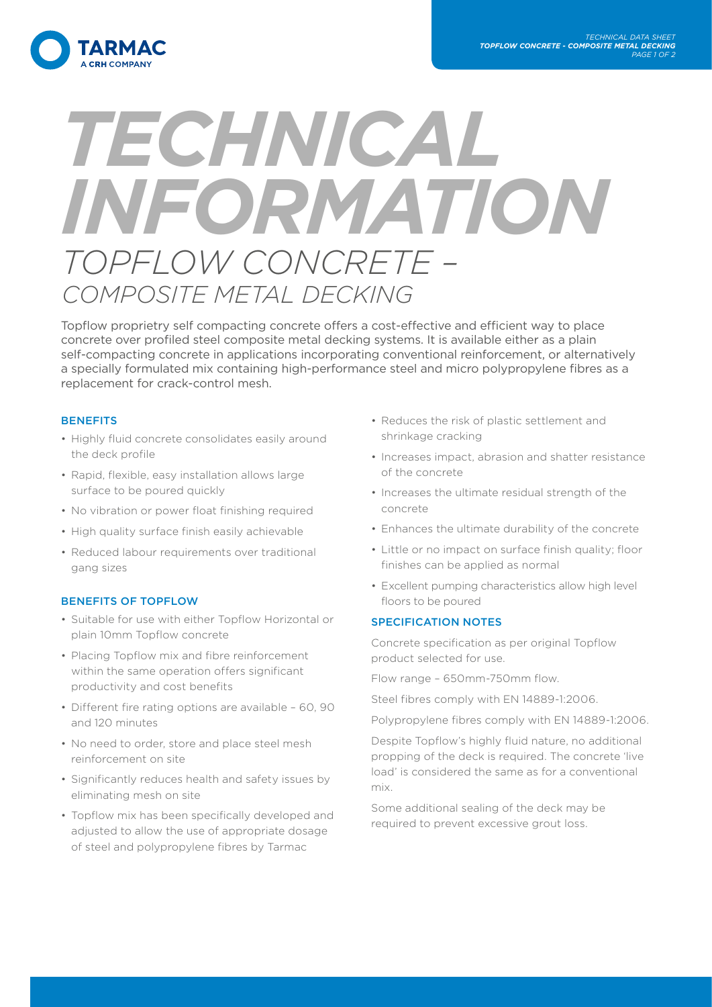

# *TECHNICAL INFORMATION TOPFLOW CONCRETE – COMPOSITE METAL DECKING*

Topflow proprietry self compacting concrete offers a cost-effective and efficient way to place concrete over profiled steel composite metal decking systems. It is available either as a plain self-compacting concrete in applications incorporating conventional reinforcement, or alternatively a specially formulated mix containing high-performance steel and micro polypropylene fibres as a replacement for crack-control mesh.

#### **BENEFITS**

- Highly fluid concrete consolidates easily around the deck profile
- Rapid, flexible, easy installation allows large surface to be poured quickly
- No vibration or power float finishing required
- High quality surface finish easily achievable
- Reduced labour requirements over traditional gang sizes

### BENEFITS OF TOPFLOW

- Suitable for use with either Topflow Horizontal or plain 10mm Topflow concrete
- Placing Topflow mix and fibre reinforcement within the same operation offers significant productivity and cost benefits
- Different fire rating options are available 60, 90 and 120 minutes
- No need to order, store and place steel mesh reinforcement on site
- Significantly reduces health and safety issues by eliminating mesh on site
- Topflow mix has been specifically developed and adjusted to allow the use of appropriate dosage of steel and polypropylene fibres by Tarmac
- Reduces the risk of plastic settlement and shrinkage cracking
- Increases impact, abrasion and shatter resistance of the concrete
- Increases the ultimate residual strength of the concrete
- Enhances the ultimate durability of the concrete
- Little or no impact on surface finish quality; floor finishes can be applied as normal
- Excellent pumping characteristics allow high level floors to be poured

#### SPECIFICATION NOTES

Concrete specification as per original Topflow product selected for use.

Flow range – 650mm-750mm flow.

Steel fibres comply with EN 14889-1:2006.

Polypropylene fibres comply with EN 14889-1:2006.

Despite Topflow's highly fluid nature, no additional propping of the deck is required. The concrete 'live load' is considered the same as for a conventional mix.

Some additional sealing of the deck may be required to prevent excessive grout loss.